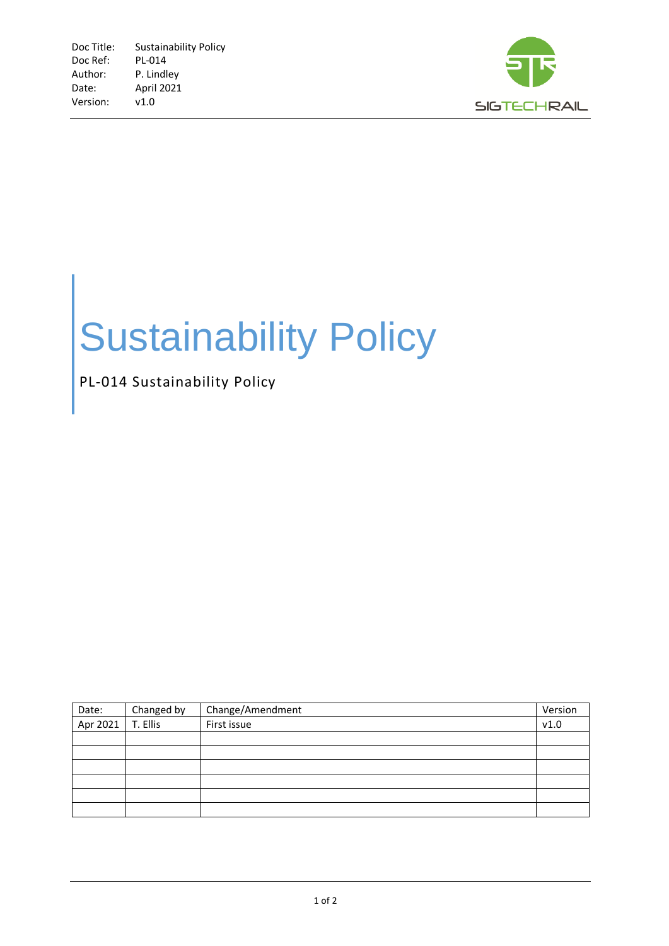

## Sustainability Policy

## PL-014 Sustainability Policy

| Date:    | Changed by | Change/Amendment | Version |
|----------|------------|------------------|---------|
| Apr 2021 | T. Ellis   | First issue      | v1.0    |
|          |            |                  |         |
|          |            |                  |         |
|          |            |                  |         |
|          |            |                  |         |
|          |            |                  |         |
|          |            |                  |         |